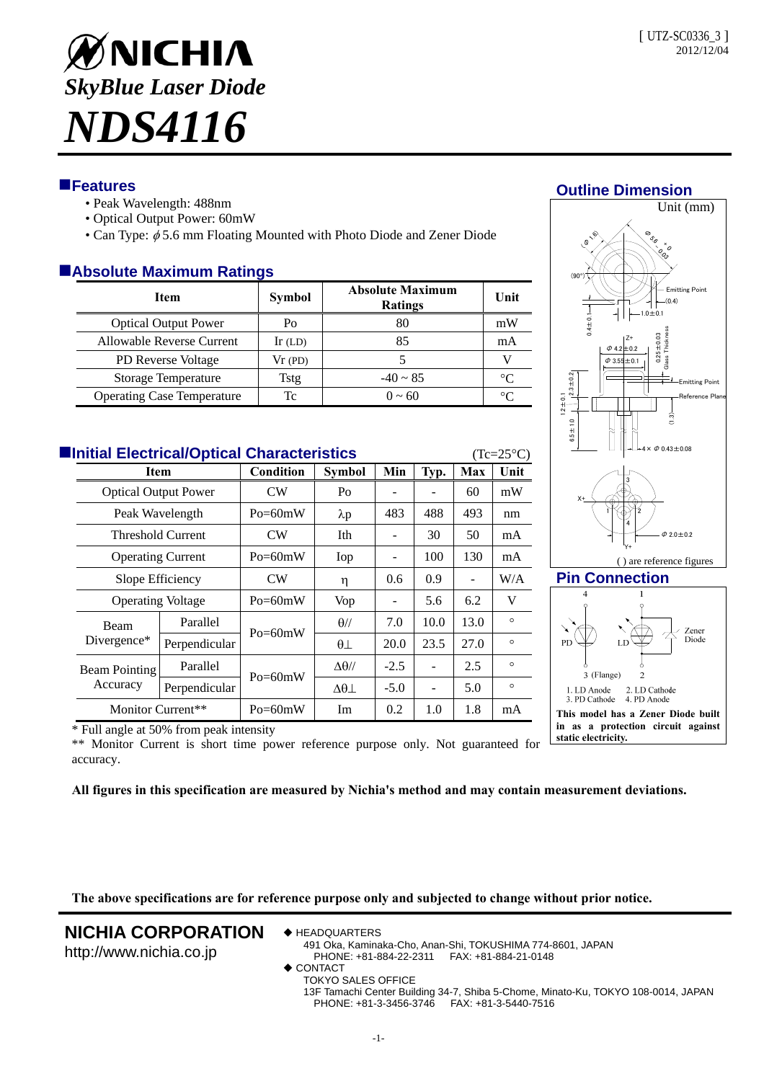

## **Features**

- Peak Wavelength: 488nm
- Optical Output Power: 60mW
- Can Type:  $\phi$  5.6 mm Floating Mounted with Photo Diode and Zener Diode

## **Absolute Maximum Ratings**

| <b>Item</b>                       | <b>Symbol</b> | <b>Absolute Maximum</b><br><b>Ratings</b> | Unit        |
|-----------------------------------|---------------|-------------------------------------------|-------------|
| <b>Optical Output Power</b>       | Po            | 80                                        | mW          |
| Allowable Reverse Current         | $Ir$ (LD)     | 85                                        | mA          |
| <b>PD</b> Reverse Voltage         | Vr(PD)        |                                           |             |
| Storage Temperature               | <b>Tstg</b>   | $-40 \sim 85$                             | $^{\circ}C$ |
| <b>Operating Case Temperature</b> | Tc            | $0 \sim 60$                               | °∩          |

| <b>Elnitial Electrical/Optical Characteristics</b><br>$(Tc=25\degree C)$ |                                                        |               |             |                   |               |      |      |         |  |  |
|--------------------------------------------------------------------------|--------------------------------------------------------|---------------|-------------|-------------------|---------------|------|------|---------|--|--|
|                                                                          | Item<br><b>Optical Output Power</b><br>Peak Wavelength |               | Condition   | <b>Symbol</b>     | Min           | Typ. | Max  | Unit    |  |  |
|                                                                          |                                                        |               | <b>CW</b>   | Po                |               |      | 60   | mW      |  |  |
|                                                                          |                                                        |               | $Po = 60mW$ | $\lambda p$       | 483           | 488  | 493  | nm      |  |  |
|                                                                          | <b>Threshold Current</b>                               |               | <b>CW</b>   | Ith               | ۰             | 30   | 50   | mA      |  |  |
|                                                                          | <b>Operating Current</b>                               |               | $Po = 60mW$ | Iop               |               | 100  | 130  | mA      |  |  |
|                                                                          | Slope Efficiency                                       |               | <b>CW</b>   | η                 | $0.6^{\circ}$ | 0.9  |      | W/A     |  |  |
|                                                                          | <b>Operating Voltage</b>                               |               | $Po = 60mW$ | Vop               | ۰             | 5.6  | 6.2  | V       |  |  |
|                                                                          | <b>Beam</b><br>Divergence*                             | Parallel      | $Po = 60mW$ | $\theta$ //       | 7.0           | 10.0 | 13.0 | $\circ$ |  |  |
|                                                                          |                                                        | Perpendicular |             | $\theta$          | 20.0          | 23.5 | 27.0 | $\circ$ |  |  |
|                                                                          | Beam Pointing<br>Accuracy                              | Parallel      | $Po = 60mW$ | $\Delta\theta$ // | $-2.5$        |      | 2.5  | $\circ$ |  |  |
|                                                                          |                                                        | Perpendicular |             | $\Delta\theta$    | $-5.0$        |      | 5.0  | $\circ$ |  |  |
|                                                                          | Monitor Current**                                      |               | $Po = 60mW$ | Im                | $0.2^{\circ}$ | 1.0  | 1.8  | mA      |  |  |



### **Pin Connection**



\* Full angle at 50% from peak intensity

\*\* Monitor Current is short time power reference purpose only. Not guaranteed for accuracy.

**All figures in this specification are measured by Nichia's method and may contain measurement deviations.**

**The above specifications are for reference purpose only and subjected to change without prior notice.** 

# **NICHIA CORPORATION**

http://www.nichia.co.jp

◆ HEADQUARTERS

491 Oka, Kaminaka-Cho, Anan-Shi, TOKUSHIMA 774-8601, JAPAN PHONE: +81-884-22-2311 FAX: +81-884-21-0148

- ◆ CONTACT
	- TOKYO SALES OFFICE 13F Tamachi Center Building 34-7, Shiba 5-Chome, Minato-Ku, TOKYO 108-0014, JAPAN PHONE: +81-3-3456-3746 FAX: +81-3-5440-7516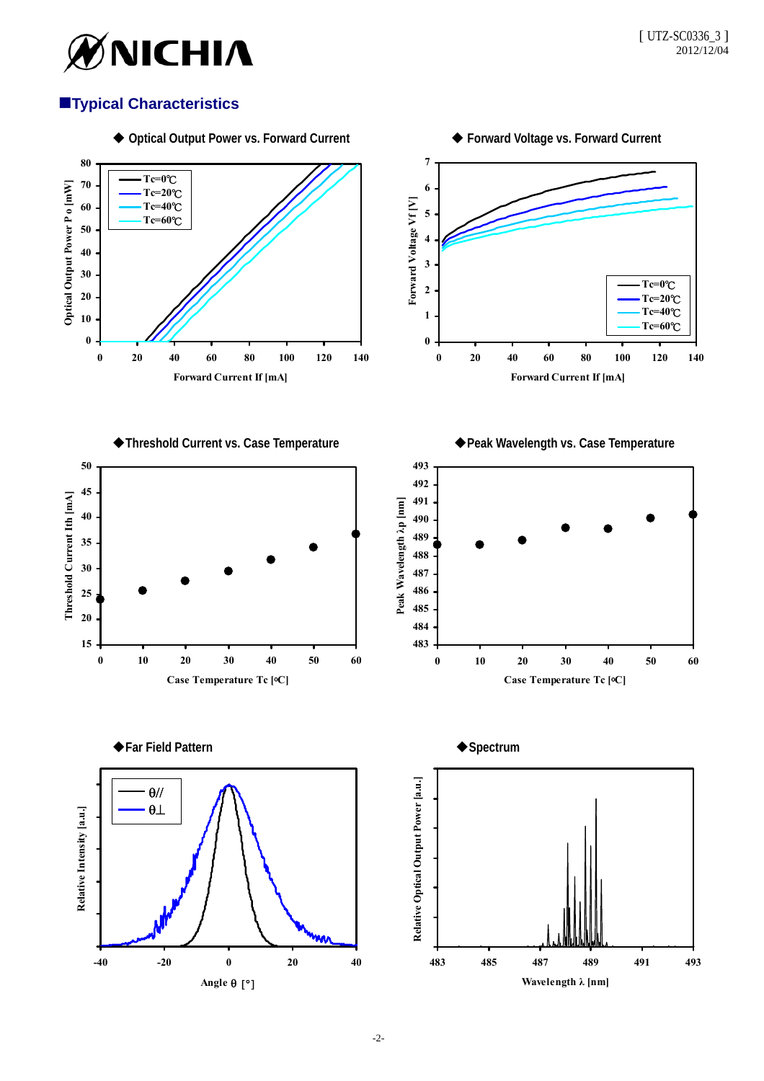

# **Typical Characteristics**

**Tc=0**℃ **Tc=20**℃ **Tc=40**℃ **Tc=60**℃

**Optical Output Power P o [mW]**

Optical Output Power P o [mW]



**0 20 40 60 80 100 120 140 Forward Current If [mA]**